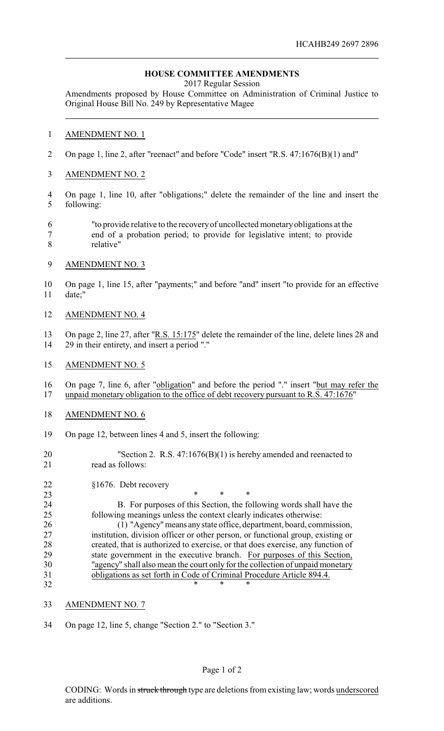## **HOUSE COMMITTEE AMENDMENTS**

2017 Regular Session

Amendments proposed by House Committee on Administration of Criminal Justice to Original House Bill No. 249 by Representative Magee

## AMENDMENT NO. 1

- On page 1, line 2, after "reenact" and before "Code" insert "R.S. 47:1676(B)(1) and"
- AMENDMENT NO. 2
- On page 1, line 10, after "obligations;" delete the remainder of the line and insert the following:
- "to provide relative to the recoveryof uncollected monetaryobligations at the end of a probation period; to provide for legislative intent; to provide relative"
- AMENDMENT NO. 3
- On page 1, line 15, after "payments;" and before "and" insert "to provide for an effective date;"
- AMENDMENT NO. 4
- 13 On page 2, line 27, after "R.S. 15:175" delete the remainder of the line, delete lines 28 and 29 in their entirety, and insert a period "."

## AMENDMENT NO. 5

 On page 7, line 6, after "obligation" and before the period "." insert "but may refer the unpaid monetary obligation to the office of debt recovery pursuant to R.S. 47:1676"

- AMENDMENT NO. 6
- On page 12, between lines 4 and 5, insert the following:
- 20 "Section 2. R.S. 47:1676(B)(1) is hereby amended and reenacted to read as follows:

§1676. Debt recovery

**\*** \* \* \* B. For purposes of this Section, the following words shall have the following meanings unless the context clearly indicates otherwise:

 (1) "Agency"means anystate office, department, board, commission, institution, division officer or other person, or functional group, existing or created, that is authorized to exercise, or that does exercise, any function of state government in the executive branch. For purposes of this Section, "agency" shall also mean the court only for the collection of unpaid monetary obligations as set forth in Code of Criminal Procedure Article 894.4. 32 \* \* \* \*

- AMENDMENT NO. 7
- On page 12, line 5, change "Section 2." to "Section 3."